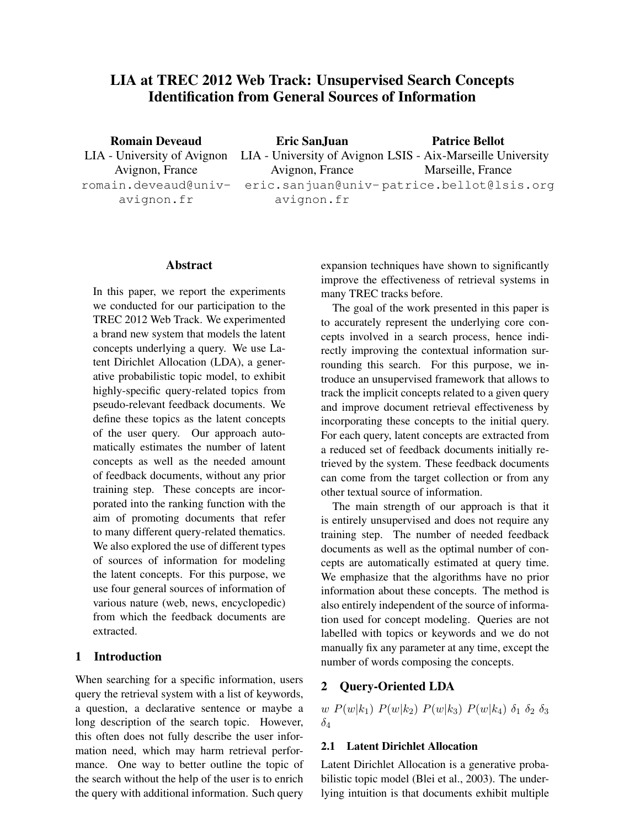# LIA at TREC 2012 Web Track: Unsupervised Search Concepts Identification from General Sources of Information

Romain Deveaud Avignon, France romain.deveaud@univavignon.fr

LIA - University of Avignon LIA - University of Avignon LSIS - Aix-Marseille University Eric SanJuan Avignon, France eric.sanjuan@univ-patrice.bellot@lsis.org avignon.fr Patrice Bellot Marseille, France

## Abstract

In this paper, we report the experiments we conducted for our participation to the TREC 2012 Web Track. We experimented a brand new system that models the latent concepts underlying a query. We use Latent Dirichlet Allocation (LDA), a generative probabilistic topic model, to exhibit highly-specific query-related topics from pseudo-relevant feedback documents. We define these topics as the latent concepts of the user query. Our approach automatically estimates the number of latent concepts as well as the needed amount of feedback documents, without any prior training step. These concepts are incorporated into the ranking function with the aim of promoting documents that refer to many different query-related thematics. We also explored the use of different types of sources of information for modeling the latent concepts. For this purpose, we use four general sources of information of various nature (web, news, encyclopedic) from which the feedback documents are extracted.

# 1 Introduction

When searching for a specific information, users query the retrieval system with a list of keywords, a question, a declarative sentence or maybe a long description of the search topic. However, this often does not fully describe the user information need, which may harm retrieval performance. One way to better outline the topic of the search without the help of the user is to enrich the query with additional information. Such query expansion techniques have shown to significantly improve the effectiveness of retrieval systems in many TREC tracks before.

The goal of the work presented in this paper is to accurately represent the underlying core concepts involved in a search process, hence indirectly improving the contextual information surrounding this search. For this purpose, we introduce an unsupervised framework that allows to track the implicit concepts related to a given query and improve document retrieval effectiveness by incorporating these concepts to the initial query. For each query, latent concepts are extracted from a reduced set of feedback documents initially retrieved by the system. These feedback documents can come from the target collection or from any other textual source of information.

The main strength of our approach is that it is entirely unsupervised and does not require any training step. The number of needed feedback documents as well as the optimal number of concepts are automatically estimated at query time. We emphasize that the algorithms have no prior information about these concepts. The method is also entirely independent of the source of information used for concept modeling. Queries are not labelled with topics or keywords and we do not manually fix any parameter at any time, except the number of words composing the concepts.

# 2 Query-Oriented LDA

w  $P(w|k_1) P(w|k_2) P(w|k_3) P(w|k_4) \delta_1 \delta_2 \delta_3$  $\delta_4$ 

### 2.1 Latent Dirichlet Allocation

Latent Dirichlet Allocation is a generative probabilistic topic model (Blei et al., 2003). The underlying intuition is that documents exhibit multiple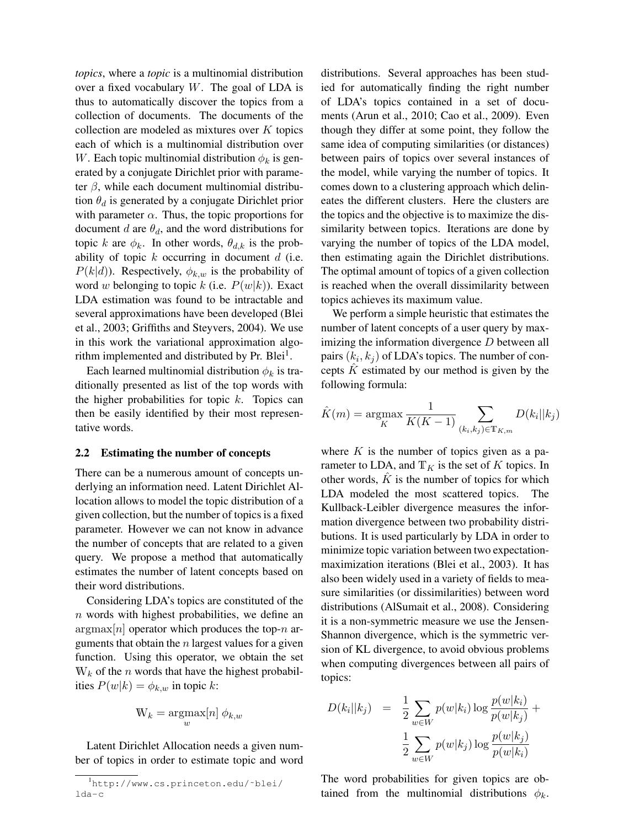*topics*, where a *topic* is a multinomial distribution over a fixed vocabulary  $W$ . The goal of LDA is thus to automatically discover the topics from a collection of documents. The documents of the collection are modeled as mixtures over  $K$  topics each of which is a multinomial distribution over W. Each topic multinomial distribution  $\phi_k$  is generated by a conjugate Dirichlet prior with parameter  $\beta$ , while each document multinomial distribution  $\theta_d$  is generated by a conjugate Dirichlet prior with parameter  $\alpha$ . Thus, the topic proportions for document d are  $\theta_d$ , and the word distributions for topic k are  $\phi_k$ . In other words,  $\theta_{d,k}$  is the probability of topic  $k$  occurring in document  $d$  (i.e.  $P(k|d)$ ). Respectively,  $\phi_{k,w}$  is the probability of word w belonging to topic k (i.e.  $P(w|k)$ ). Exact LDA estimation was found to be intractable and several approximations have been developed (Blei et al., 2003; Griffiths and Steyvers, 2004). We use in this work the variational approximation algorithm implemented and distributed by Pr. Blei<sup>1</sup>.

Each learned multinomial distribution  $\phi_k$  is traditionally presented as list of the top words with the higher probabilities for topic  $k$ . Topics can then be easily identified by their most representative words.

#### 2.2 Estimating the number of concepts

There can be a numerous amount of concepts underlying an information need. Latent Dirichlet Allocation allows to model the topic distribution of a given collection, but the number of topics is a fixed parameter. However we can not know in advance the number of concepts that are related to a given query. We propose a method that automatically estimates the number of latent concepts based on their word distributions.

Considering LDA's topics are constituted of the  $n$  words with highest probabilities, we define an  $\arg \max[n]$  operator which produces the top-n arguments that obtain the  $n$  largest values for a given function. Using this operator, we obtain the set  $W_k$  of the *n* words that have the highest probabilities  $P(w|k) = \phi_{k,w}$  in topic k:

$$
\mathbf{W}_k = \underset{w}{\operatorname{argmax}}[n] \; \phi_{k,w}
$$

Latent Dirichlet Allocation needs a given number of topics in order to estimate topic and word

distributions. Several approaches has been studied for automatically finding the right number of LDA's topics contained in a set of documents (Arun et al., 2010; Cao et al., 2009). Even though they differ at some point, they follow the same idea of computing similarities (or distances) between pairs of topics over several instances of the model, while varying the number of topics. It comes down to a clustering approach which delineates the different clusters. Here the clusters are the topics and the objective is to maximize the dissimilarity between topics. Iterations are done by varying the number of topics of the LDA model, then estimating again the Dirichlet distributions. The optimal amount of topics of a given collection is reached when the overall dissimilarity between topics achieves its maximum value.

We perform a simple heuristic that estimates the number of latent concepts of a user query by maximizing the information divergence  $D$  between all pairs  $(k_i, k_j)$  of LDA's topics. The number of concepts  $K$  estimated by our method is given by the following formula:

$$
\hat{K}(m) = \underset{K}{\text{argmax}} \frac{1}{K(K-1)} \sum_{(k_i, k_j) \in \mathbb{T}_{K,m}} D(k_i || k_j)
$$

where  $K$  is the number of topics given as a parameter to LDA, and  $T_K$  is the set of K topics. In other words,  $\hat{K}$  is the number of topics for which LDA modeled the most scattered topics. The Kullback-Leibler divergence measures the information divergence between two probability distributions. It is used particularly by LDA in order to minimize topic variation between two expectationmaximization iterations (Blei et al., 2003). It has also been widely used in a variety of fields to measure similarities (or dissimilarities) between word distributions (AlSumait et al., 2008). Considering it is a non-symmetric measure we use the Jensen-Shannon divergence, which is the symmetric version of KL divergence, to avoid obvious problems when computing divergences between all pairs of topics:

$$
D(k_i||k_j) = \frac{1}{2} \sum_{w \in W} p(w|k_i) \log \frac{p(w|k_i)}{p(w|k_j)} + \frac{1}{2} \sum_{w \in W} p(w|k_j) \log \frac{p(w|k_j)}{p(w|k_i)}
$$

The word probabilities for given topics are obtained from the multinomial distributions  $\phi_k$ .

<sup>1</sup>http://www.cs.princeton.edu/˜blei/ lda-c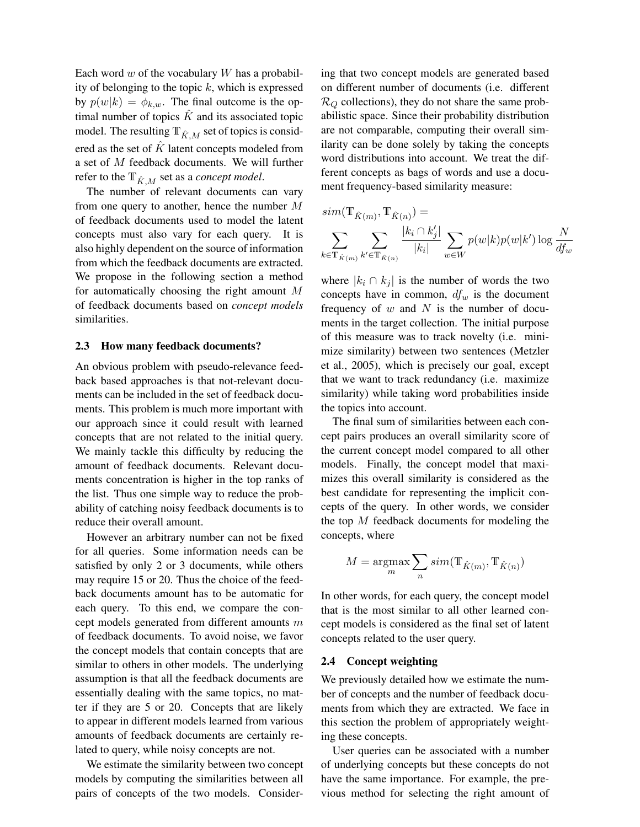Each word  $w$  of the vocabulary  $W$  has a probability of belonging to the topic  $k$ , which is expressed by  $p(w|k) = \phi_{k,w}$ . The final outcome is the optimal number of topics  $\hat{K}$  and its associated topic model. The resulting  $\mathbb{T}_{\hat{K},M}$  set of topics is considered as the set of  $\hat{K}$  latent concepts modeled from a set of M feedback documents. We will further refer to the  $T_{\hat{K},M}$  set as a *concept model*.

The number of relevant documents can vary from one query to another, hence the number M of feedback documents used to model the latent concepts must also vary for each query. It is also highly dependent on the source of information from which the feedback documents are extracted. We propose in the following section a method for automatically choosing the right amount M of feedback documents based on *concept models* similarities.

#### 2.3 How many feedback documents?

An obvious problem with pseudo-relevance feedback based approaches is that not-relevant documents can be included in the set of feedback documents. This problem is much more important with our approach since it could result with learned concepts that are not related to the initial query. We mainly tackle this difficulty by reducing the amount of feedback documents. Relevant documents concentration is higher in the top ranks of the list. Thus one simple way to reduce the probability of catching noisy feedback documents is to reduce their overall amount.

However an arbitrary number can not be fixed for all queries. Some information needs can be satisfied by only 2 or 3 documents, while others may require 15 or 20. Thus the choice of the feedback documents amount has to be automatic for each query. To this end, we compare the concept models generated from different amounts m of feedback documents. To avoid noise, we favor the concept models that contain concepts that are similar to others in other models. The underlying assumption is that all the feedback documents are essentially dealing with the same topics, no matter if they are 5 or 20. Concepts that are likely to appear in different models learned from various amounts of feedback documents are certainly related to query, while noisy concepts are not.

We estimate the similarity between two concept models by computing the similarities between all pairs of concepts of the two models. Consider-

ing that two concept models are generated based on different number of documents (i.e. different  $\mathcal{R}_Q$  collections), they do not share the same probabilistic space. Since their probability distribution are not comparable, computing their overall similarity can be done solely by taking the concepts word distributions into account. We treat the different concepts as bags of words and use a document frequency-based similarity measure:

$$
sim(\mathbb{T}_{\hat{K}(m)}, \mathbb{T}_{\hat{K}(n)}) =
$$
  

$$
\sum_{k \in \mathbb{T}_{\hat{K}(m)}} \sum_{k' \in \mathbb{T}_{\hat{K}(n)}} \frac{|k_i \cap k'_j|}{|k_i|} \sum_{w \in W} p(w|k) p(w|k') \log \frac{N}{df_w}
$$

where  $|k_i \cap k_j|$  is the number of words the two concepts have in common,  $df_w$  is the document frequency of  $w$  and  $N$  is the number of documents in the target collection. The initial purpose of this measure was to track novelty (i.e. minimize similarity) between two sentences (Metzler et al., 2005), which is precisely our goal, except that we want to track redundancy (i.e. maximize similarity) while taking word probabilities inside the topics into account.

The final sum of similarities between each concept pairs produces an overall similarity score of the current concept model compared to all other models. Finally, the concept model that maximizes this overall similarity is considered as the best candidate for representing the implicit concepts of the query. In other words, we consider the top  $M$  feedback documents for modeling the concepts, where

$$
M = \underset{m}{\operatorname{argmax}} \sum_{n} sim(\mathbb{T}_{\hat{K}(m)}, \mathbb{T}_{\hat{K}(n)})
$$

In other words, for each query, the concept model that is the most similar to all other learned concept models is considered as the final set of latent concepts related to the user query.

#### 2.4 Concept weighting

We previously detailed how we estimate the number of concepts and the number of feedback documents from which they are extracted. We face in this section the problem of appropriately weighting these concepts.

User queries can be associated with a number of underlying concepts but these concepts do not have the same importance. For example, the previous method for selecting the right amount of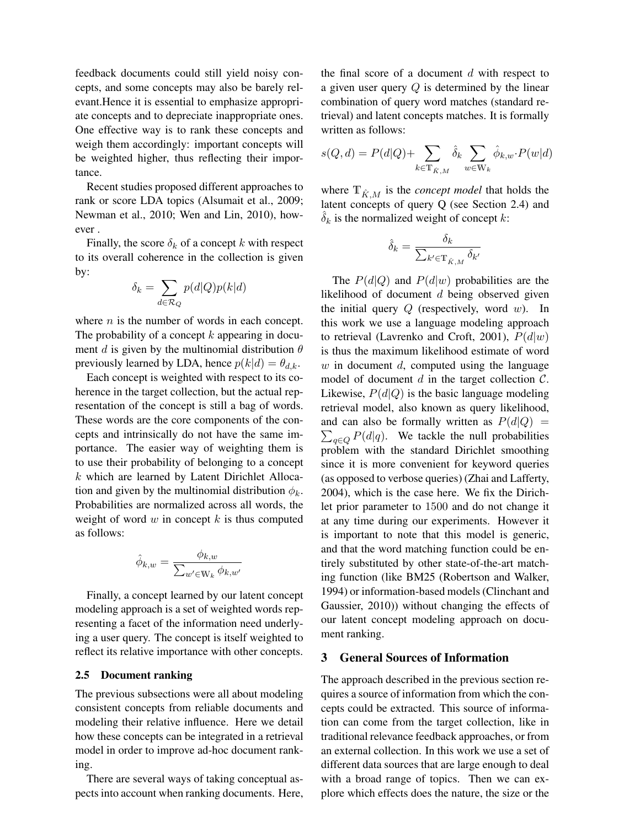feedback documents could still yield noisy concepts, and some concepts may also be barely relevant.Hence it is essential to emphasize appropriate concepts and to depreciate inappropriate ones. One effective way is to rank these concepts and weigh them accordingly: important concepts will be weighted higher, thus reflecting their importance.

Recent studies proposed different approaches to rank or score LDA topics (Alsumait et al., 2009; Newman et al., 2010; Wen and Lin, 2010), however .

Finally, the score  $\delta_k$  of a concept k with respect to its overall coherence in the collection is given by:

$$
\delta_k = \sum_{d \in \mathcal{R}_Q} p(d|Q)p(k|d)
$$

where  $n$  is the number of words in each concept. The probability of a concept  $k$  appearing in document d is given by the multinomial distribution  $\theta$ previously learned by LDA, hence  $p(k|d) = \theta_{d,k}$ .

Each concept is weighted with respect to its coherence in the target collection, but the actual representation of the concept is still a bag of words. These words are the core components of the concepts and intrinsically do not have the same importance. The easier way of weighting them is to use their probability of belonging to a concept  $k$  which are learned by Latent Dirichlet Allocation and given by the multinomial distribution  $\phi_k$ . Probabilities are normalized across all words, the weight of word  $w$  in concept  $k$  is thus computed as follows:

$$
\hat{\phi}_{k,w} = \frac{\phi_{k,w}}{\sum_{w' \in \mathcal{W}_k} \phi_{k,w'}}
$$

Finally, a concept learned by our latent concept modeling approach is a set of weighted words representing a facet of the information need underlying a user query. The concept is itself weighted to reflect its relative importance with other concepts.

#### 2.5 Document ranking

The previous subsections were all about modeling consistent concepts from reliable documents and modeling their relative influence. Here we detail how these concepts can be integrated in a retrieval model in order to improve ad-hoc document ranking.

There are several ways of taking conceptual aspects into account when ranking documents. Here, the final score of a document  $d$  with respect to a given user query Q is determined by the linear combination of query word matches (standard retrieval) and latent concepts matches. It is formally written as follows:

$$
s(Q, d) = P(d|Q) + \sum_{k \in \mathbb{T}_{\hat{K},M}} \hat{\delta}_k \sum_{w \in \mathbb{W}_k} \hat{\phi}_{k,w} \cdot P(w|d)
$$

where  $\mathbb{T}_{\hat{K}}_M$  is the *concept model* that holds the latent concepts of query Q (see Section 2.4) and  $\delta_k$  is the normalized weight of concept k:

$$
\hat{\delta}_k = \frac{\delta_k}{\sum_{k' \in \mathbb{T}_{\hat{K},M}} \delta_{k'}}
$$

The  $P(d|Q)$  and  $P(d|w)$  probabilities are the likelihood of document d being observed given the initial query  $Q$  (respectively, word  $w$ ). In this work we use a language modeling approach to retrieval (Lavrenko and Croft, 2001),  $P(d|w)$ is thus the maximum likelihood estimate of word  $w$  in document  $d$ , computed using the language model of document  $d$  in the target collection  $\mathcal{C}$ . Likewise,  $P(d|Q)$  is the basic language modeling retrieval model, also known as query likelihood, and can also be formally written as  $P(d|Q) =$  $\sum_{q \in Q} P(d|q)$ . We tackle the null probabilities problem with the standard Dirichlet smoothing since it is more convenient for keyword queries (as opposed to verbose queries) (Zhai and Lafferty, 2004), which is the case here. We fix the Dirichlet prior parameter to 1500 and do not change it at any time during our experiments. However it is important to note that this model is generic, and that the word matching function could be entirely substituted by other state-of-the-art matching function (like BM25 (Robertson and Walker, 1994) or information-based models (Clinchant and Gaussier, 2010)) without changing the effects of our latent concept modeling approach on document ranking.

#### 3 General Sources of Information

The approach described in the previous section requires a source of information from which the concepts could be extracted. This source of information can come from the target collection, like in traditional relevance feedback approaches, or from an external collection. In this work we use a set of different data sources that are large enough to deal with a broad range of topics. Then we can explore which effects does the nature, the size or the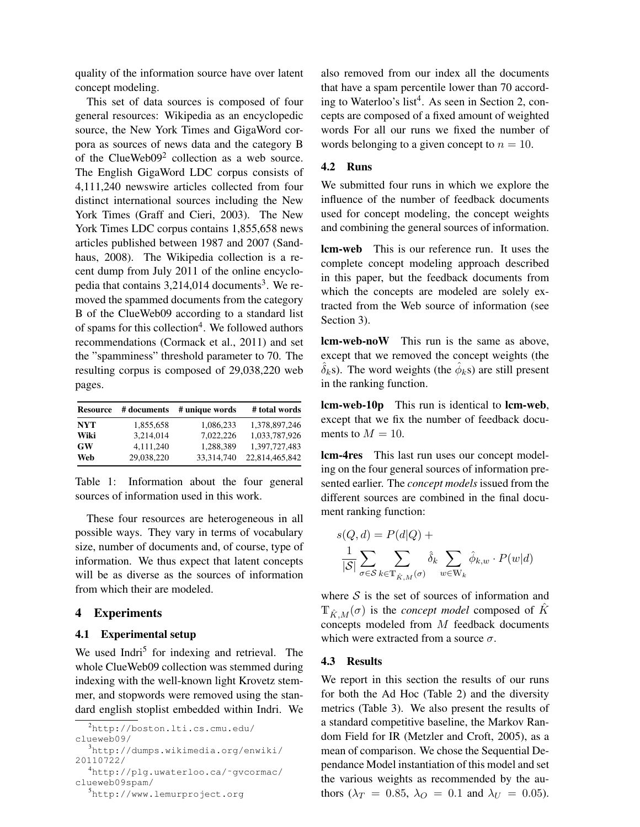quality of the information source have over latent concept modeling.

This set of data sources is composed of four general resources: Wikipedia as an encyclopedic source, the New York Times and GigaWord corpora as sources of news data and the category B of the ClueWeb09<sup>2</sup> collection as a web source. The English GigaWord LDC corpus consists of 4,111,240 newswire articles collected from four distinct international sources including the New York Times (Graff and Cieri, 2003). The New York Times LDC corpus contains 1,855,658 news articles published between 1987 and 2007 (Sandhaus, 2008). The Wikipedia collection is a recent dump from July 2011 of the online encyclopedia that contains  $3,214,014$  documents<sup>3</sup>. We removed the spammed documents from the category B of the ClueWeb09 according to a standard list of spams for this collection<sup>4</sup>. We followed authors recommendations (Cormack et al., 2011) and set the "spamminess" threshold parameter to 70. The resulting corpus is composed of 29,038,220 web pages.

| <b>Resource</b> | # documents | # unique words | # total words  |
|-----------------|-------------|----------------|----------------|
| <b>NYT</b>      | 1,855,658   | 1,086,233      | 1,378,897,246  |
| Wiki            | 3.214.014   | 7.022.226      | 1.033.787.926  |
| <b>GW</b>       | 4.111.240   | 1,288,389      | 1.397.727.483  |
| Web             | 29.038.220  | 33,314,740     | 22,814,465,842 |

Table 1: Information about the four general sources of information used in this work.

These four resources are heterogeneous in all possible ways. They vary in terms of vocabulary size, number of documents and, of course, type of information. We thus expect that latent concepts will be as diverse as the sources of information from which their are modeled.

## 4 Experiments

## 4.1 Experimental setup

We used Indri<sup>5</sup> for indexing and retrieval. The whole ClueWeb09 collection was stemmed during indexing with the well-known light Krovetz stemmer, and stopwords were removed using the standard english stoplist embedded within Indri. We

```
2http://boston.lti.cs.cmu.edu/
clueweb09/
```
<sup>5</sup>http://www.lemurproject.org

also removed from our index all the documents that have a spam percentile lower than 70 according to Waterloo's list<sup>4</sup>. As seen in Section 2, concepts are composed of a fixed amount of weighted words For all our runs we fixed the number of words belonging to a given concept to  $n = 10$ .

## 4.2 Runs

We submitted four runs in which we explore the influence of the number of feedback documents used for concept modeling, the concept weights and combining the general sources of information.

lcm-web This is our reference run. It uses the complete concept modeling approach described in this paper, but the feedback documents from which the concepts are modeled are solely extracted from the Web source of information (see Section 3).

lcm-web-noW This run is the same as above, except that we removed the concept weights (the  $\hat{\delta}_k$ s). The word weights (the  $\hat{\phi}_k$ s) are still present in the ranking function.

lcm-web-10p This run is identical to lcm-web, except that we fix the number of feedback documents to  $M = 10$ .

lcm-4res This last run uses our concept modeling on the four general sources of information presented earlier. The *concept models* issued from the different sources are combined in the final document ranking function:

$$
s(Q, d) = P(d|Q) +
$$
  

$$
\frac{1}{|S|} \sum_{\sigma \in S} \sum_{k \in \mathbb{T}_{\hat{K},M}(\sigma)} \hat{\delta}_k \sum_{w \in \mathbb{W}_k} \hat{\phi}_{k,w} \cdot P(w|d)
$$

where  $S$  is the set of sources of information and  $T_{\hat{K}M}(\sigma)$  is the *concept model* composed of  $\hat{K}$ concepts modeled from  $M$  feedback documents which were extracted from a source  $\sigma$ .

#### 4.3 Results

We report in this section the results of our runs for both the Ad Hoc (Table 2) and the diversity metrics (Table 3). We also present the results of a standard competitive baseline, the Markov Random Field for IR (Metzler and Croft, 2005), as a mean of comparison. We chose the Sequential Dependance Model instantiation of this model and set the various weights as recommended by the authors ( $\lambda_T = 0.85$ ,  $\lambda_O = 0.1$  and  $\lambda_U = 0.05$ ).

<sup>3</sup>http://dumps.wikimedia.org/enwiki/ 20110722/

<sup>4</sup>http://plg.uwaterloo.ca/˜gvcormac/ clueweb09spam/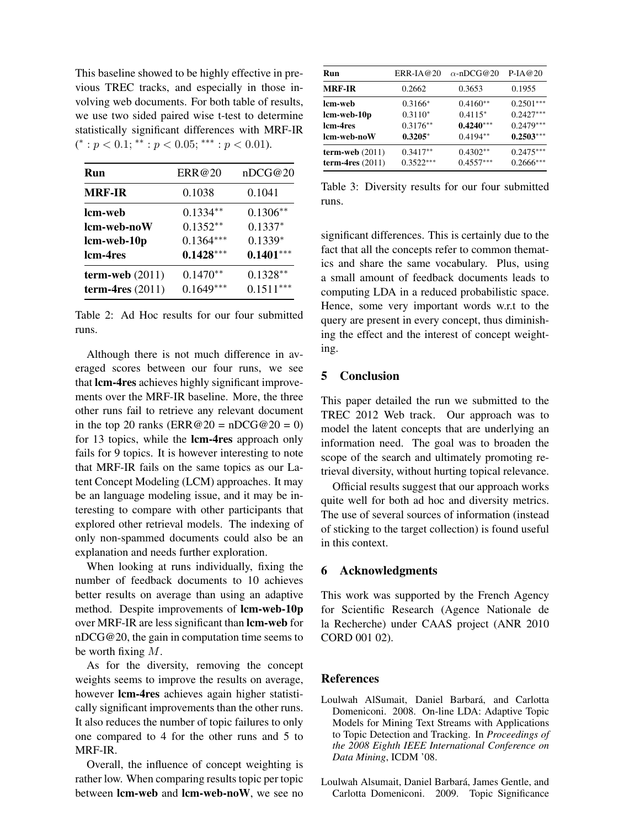This baseline showed to be highly effective in previous TREC tracks, and especially in those involving web documents. For both table of results, we use two sided paired wise t-test to determine statistically significant differences with MRF-IR  $(*: p < 0.1; ** : p < 0.05; *** : p < 0.01).$ 

| Run                  | ERR@20      | nDCG@20     |
|----------------------|-------------|-------------|
| <b>MRF-IR</b>        | 0.1038      | 0.1041      |
| lcm-web              | $0.1334**$  | $0.1306**$  |
| lcm-web-noW          | $0.1352**$  | $0.1337*$   |
| lcm-web-10p          | $0.1364***$ | $0.1339*$   |
| lcm-4res             | $0.1428***$ | $0.1401***$ |
| $term$ -web $(2011)$ | $0.1470**$  | $0.1328**$  |
| term-4res $(2011)$   | $0.1649***$ | $0.1511***$ |

Table 2: Ad Hoc results for our four submitted runs.

Although there is not much difference in averaged scores between our four runs, we see that lcm-4res achieves highly significant improvements over the MRF-IR baseline. More, the three other runs fail to retrieve any relevant document in the top 20 ranks ( $\text{ERR@20} = \text{nDCG@20} = 0$ ) for 13 topics, while the **lcm-4res** approach only fails for 9 topics. It is however interesting to note that MRF-IR fails on the same topics as our Latent Concept Modeling (LCM) approaches. It may be an language modeling issue, and it may be interesting to compare with other participants that explored other retrieval models. The indexing of only non-spammed documents could also be an explanation and needs further exploration.

When looking at runs individually, fixing the number of feedback documents to 10 achieves better results on average than using an adaptive method. Despite improvements of **lcm-web-10p** over MRF-IR are less significant than **lcm-web** for nDCG@20, the gain in computation time seems to be worth fixing  $M$ .

As for the diversity, removing the concept weights seems to improve the results on average, however lcm-4res achieves again higher statistically significant improvements than the other runs. It also reduces the number of topic failures to only one compared to 4 for the other runs and 5 to MRF-IR.

Overall, the influence of concept weighting is rather low. When comparing results topic per topic between lcm-web and lcm-web-noW, we see no

| Run                                           | $ERR-IA@20$               | $\alpha$ -nDCG@20         | $P$ -IA $@20$              |
|-----------------------------------------------|---------------------------|---------------------------|----------------------------|
| <b>MRF-IR</b>                                 | 0.2662                    | 0.3653                    | 0.1955                     |
| lcm-web                                       | $0.3166*$                 | $0.4160**$                | $0.2501***$                |
| lcm-web-10p                                   | $0.3110*$                 | $0.4115*$                 | $0.2427***$                |
| lcm-4res                                      | $0.3176**$                | $0.4240***$               | $0.2479***$                |
| lcm-web-noW                                   | $0.3205*$                 | $0.4194**$                | $0.2503***$                |
| $term\text{-}web(2011)$<br>term-4res $(2011)$ | $0.3417**$<br>$0.3522***$ | $0.4302**$<br>$0.4557***$ | $0.2475***$<br>$0.2666***$ |

Table 3: Diversity results for our four submitted runs.

significant differences. This is certainly due to the fact that all the concepts refer to common thematics and share the same vocabulary. Plus, using a small amount of feedback documents leads to computing LDA in a reduced probabilistic space. Hence, some very important words w.r.t to the query are present in every concept, thus diminishing the effect and the interest of concept weighting.

# 5 Conclusion

This paper detailed the run we submitted to the TREC 2012 Web track. Our approach was to model the latent concepts that are underlying an information need. The goal was to broaden the scope of the search and ultimately promoting retrieval diversity, without hurting topical relevance.

Official results suggest that our approach works quite well for both ad hoc and diversity metrics. The use of several sources of information (instead of sticking to the target collection) is found useful in this context.

## 6 Acknowledgments

This work was supported by the French Agency for Scientific Research (Agence Nationale de la Recherche) under CAAS project (ANR 2010 CORD 001 02).

#### References

- Loulwah AlSumait, Daniel Barbará, and Carlotta Domeniconi. 2008. On-line LDA: Adaptive Topic Models for Mining Text Streams with Applications to Topic Detection and Tracking. In *Proceedings of the 2008 Eighth IEEE International Conference on Data Mining*, ICDM '08.
- Loulwah Alsumait, Daniel Barbará, James Gentle, and Carlotta Domeniconi. 2009. Topic Significance